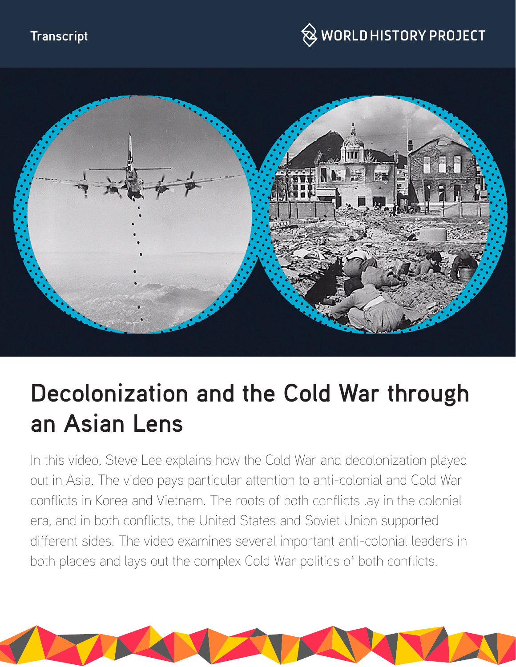#### **Transcript**





# **Decolonization and the Cold War through an Asian Lens**

In this video, Steve Lee explains how the Cold War and decolonization played out in Asia. The video pays particular attention to anti-colonial and Cold War conflicts in Korea and Vietnam. The roots of both conflicts lay in the colonial era, and in both conflicts, the United States and Soviet Union supported different sides. The video examines several important anti-colonial leaders in both places and lays out the complex Cold War politics of both conflicts.

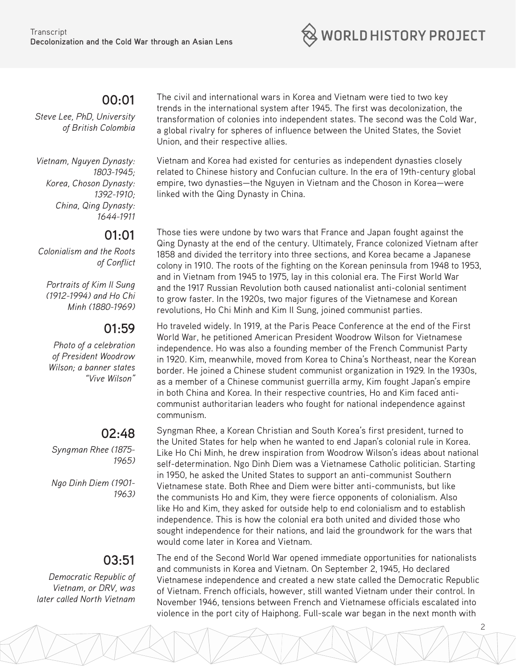

#### **00:01**

*Steve Lee, PhD, University of British Colombia*

*Vietnam, Nguyen Dynasty: 1803-1945; Korea, Choson Dynasty: 1392-1910; China, Qing Dynasty: 1644-1911*

#### **01:01**

*Colonialism and the Roots of Conflict*

*Portraits of Kim Il Sung (1912-1994) and Ho Chi Minh (1880-1969)*

### **01:59**

*Photo of a celebration of President Woodrow Wilson; a banner states "Vive Wilson"*

#### **02:48**

*Syngman Rhee (1875- 1965)*

*Ngo Dinh Diem (1901- 1963)*

#### **03:51**

*Democratic Republic of Vietnam, or DRV, was later called North Vietnam*

The civil and international wars in Korea and Vietnam were tied to two key trends in the international system after 1945. The first was decolonization, the transformation of colonies into independent states. The second was the Cold War, a global rivalry for spheres of influence between the United States, the Soviet Union, and their respective allies.

Vietnam and Korea had existed for centuries as independent dynasties closely related to Chinese history and Confucian culture. In the era of 19th-century global empire, two dynasties—the Nguyen in Vietnam and the Choson in Korea—were linked with the Qing Dynasty in China.

Those ties were undone by two wars that France and Japan fought against the Qing Dynasty at the end of the century. Ultimately, France colonized Vietnam after 1858 and divided the territory into three sections, and Korea became a Japanese colony in 1910. The roots of the fighting on the Korean peninsula from 1948 to 1953, and in Vietnam from 1945 to 1975, lay in this colonial era. The First World War and the 1917 Russian Revolution both caused nationalist anti-colonial sentiment to grow faster. In the 1920s, two major figures of the Vietnamese and Korean revolutions, Ho Chi Minh and Kim Il Sung, joined communist parties.

Ho traveled widely. In 1919, at the Paris Peace Conference at the end of the First World War, he petitioned American President Woodrow Wilson for Vietnamese independence. Ho was also a founding member of the French Communist Party in 1920. Kim, meanwhile, moved from Korea to China's Northeast, near the Korean border. He joined a Chinese student communist organization in 1929. In the 1930s, as a member of a Chinese communist guerrilla army, Kim fought Japan's empire in both China and Korea. In their respective countries, Ho and Kim faced anticommunist authoritarian leaders who fought for national independence against communism.

Syngman Rhee, a Korean Christian and South Korea's first president, turned to the United States for help when he wanted to end Japan's colonial rule in Korea. Like Ho Chi Minh, he drew inspiration from Woodrow Wilson's ideas about national self-determination. Ngo Dinh Diem was a Vietnamese Catholic politician. Starting in 1950, he asked the United States to support an anti-communist Southern Vietnamese state. Both Rhee and Diem were bitter anti-communists, but like the communists Ho and Kim, they were fierce opponents of colonialism. Also like Ho and Kim, they asked for outside help to end colonialism and to establish independence. This is how the colonial era both united and divided those who sought independence for their nations, and laid the groundwork for the wars that would come later in Korea and Vietnam.

The end of the Second World War opened immediate opportunities for nationalists and communists in Korea and Vietnam. On September 2, 1945, Ho declared Vietnamese independence and created a new state called the Democratic Republic of Vietnam. French officials, however, still wanted Vietnam under their control. In November 1946, tensions between French and Vietnamese officials escalated into violence in the port city of Haiphong. Full-scale war began in the next month with

2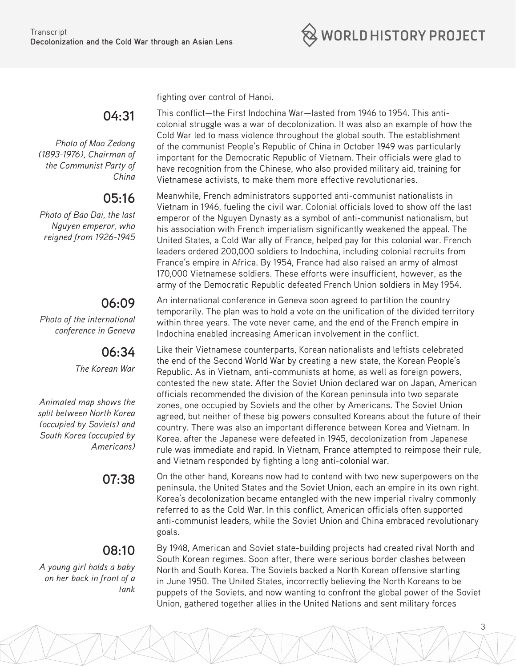

**04:31** 

*Photo of Mao Zedong (1893-1976), Chairman of the Communist Party of China*

# **05:16**

*Photo of Bao Dai, the last Nguyen emperor, who reigned from 1926-1945*

# **06:09**

*Photo of the international conference in Geneva*

# **06:34**

*The Korean War*

*Animated map shows the split between North Korea (occupied by Soviets) and South Korea (occupied by Americans)*

# **08:10**

*A young girl holds a baby on her back in front of a tank*

fighting over control of Hanoi.

This conflict—the First Indochina War—lasted from 1946 to 1954. This anticolonial struggle was a war of decolonization. It was also an example of how the Cold War led to mass violence throughout the global south. The establishment of the communist People's Republic of China in October 1949 was particularly important for the Democratic Republic of Vietnam. Their officials were glad to have recognition from the Chinese, who also provided military aid, training for Vietnamese activists, to make them more effective revolutionaries.

Meanwhile, French administrators supported anti-communist nationalists in Vietnam in 1946, fueling the civil war. Colonial officials loved to show off the last emperor of the Nguyen Dynasty as a symbol of anti-communist nationalism, but his association with French imperialism significantly weakened the appeal. The United States, a Cold War ally of France, helped pay for this colonial war. French leaders ordered 200,000 soldiers to Indochina, including colonial recruits from France's empire in Africa. By 1954, France had also raised an army of almost 170,000 Vietnamese soldiers. These efforts were insufficient, however, as the army of the Democratic Republic defeated French Union soldiers in May 1954.

An international conference in Geneva soon agreed to partition the country temporarily. The plan was to hold a vote on the unification of the divided territory within three years. The vote never came, and the end of the French empire in Indochina enabled increasing American involvement in the conflict.

Like their Vietnamese counterparts, Korean nationalists and leftists celebrated the end of the Second World War by creating a new state, the Korean People's Republic. As in Vietnam, anti-communists at home, as well as foreign powers, contested the new state. After the Soviet Union declared war on Japan, American officials recommended the division of the Korean peninsula into two separate zones, one occupied by Soviets and the other by Americans. The Soviet Union agreed, but neither of these big powers consulted Koreans about the future of their country. There was also an important difference between Korea and Vietnam. In Korea, after the Japanese were defeated in 1945, decolonization from Japanese rule was immediate and rapid. In Vietnam, France attempted to reimpose their rule, and Vietnam responded by fighting a long anti-colonial war.

**07:38** On the other hand, Koreans now had to contend with two new superpowers on the peninsula, the United States and the Soviet Union, each an empire in its own right. Korea's decolonization became entangled with the new imperial rivalry commonly referred to as the Cold War. In this conflict, American officials often supported anti-communist leaders, while the Soviet Union and China embraced revolutionary goals.

> By 1948, American and Soviet state-building projects had created rival North and South Korean regimes. Soon after, there were serious border clashes between North and South Korea. The Soviets backed a North Korean offensive starting in June 1950. The United States, incorrectly believing the North Koreans to be puppets of the Soviets, and now wanting to confront the global power of the Soviet Union, gathered together allies in the United Nations and sent military forces

> > 3